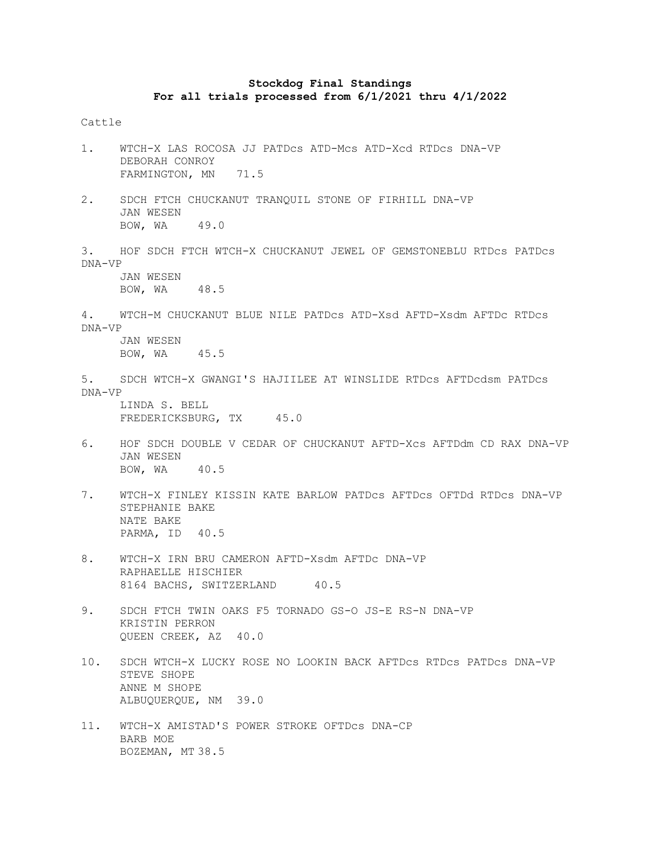## **Stockdog Final Standings For all trials processed from 6/1/2021 thru 4/1/2022**

## Cattle

- 1. WTCH-X LAS ROCOSA JJ PATDcs ATD-Mcs ATD-Xcd RTDcs DNA-VP DEBORAH CONROY FARMINGTON, MN 71.5
- 2. SDCH FTCH CHUCKANUT TRANQUIL STONE OF FIRHILL DNA-VP JAN WESEN BOW, WA 49.0
- 3. HOF SDCH FTCH WTCH-X CHUCKANUT JEWEL OF GEMSTONEBLU RTDcs PATDcs DNA-VP JAN WESEN

BOW, WA 48.5

4. WTCH-M CHUCKANUT BLUE NILE PATDcs ATD-Xsd AFTD-Xsdm AFTDc RTDcs DNA-VP JAN WESEN

BOW, WA 45.5

5. SDCH WTCH-X GWANGI'S HAJIILEE AT WINSLIDE RTDcs AFTDcdsm PATDcs DNA-VP LINDA S. BELL

FREDERICKSBURG, TX 45.0

- 6. HOF SDCH DOUBLE V CEDAR OF CHUCKANUT AFTD-Xcs AFTDdm CD RAX DNA-VP JAN WESEN BOW, WA 40.5
- 7. WTCH-X FINLEY KISSIN KATE BARLOW PATDcs AFTDcs OFTDd RTDcs DNA-VP STEPHANIE BAKE NATE BAKE PARMA, ID 40.5
- 8. WTCH-X IRN BRU CAMERON AFTD-Xsdm AFTDc DNA-VP RAPHAELLE HISCHIER 8164 BACHS, SWITZERLAND 40.5
- 9. SDCH FTCH TWIN OAKS F5 TORNADO GS-O JS-E RS-N DNA-VP KRISTIN PERRON QUEEN CREEK, AZ 40.0
- 10. SDCH WTCH-X LUCKY ROSE NO LOOKIN BACK AFTDcs RTDcs PATDcs DNA-VP STEVE SHOPE ANNE M SHOPE ALBUQUERQUE, NM 39.0
- 11. WTCH-X AMISTAD'S POWER STROKE OFTDcs DNA-CP BARB MOE BOZEMAN, MT 38.5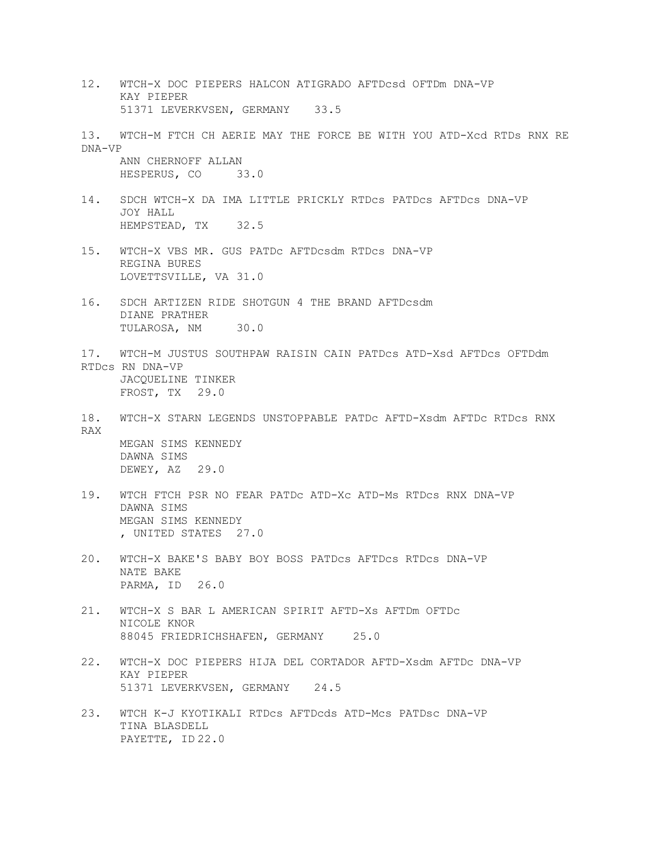- 12. WTCH-X DOC PIEPERS HALCON ATIGRADO AFTDcsd OFTDm DNA-VP KAY PIEPER 51371 LEVERKVSEN, GERMANY 33.5
- 13. WTCH-M FTCH CH AERIE MAY THE FORCE BE WITH YOU ATD-Xcd RTDs RNX RE DNA-VP ANN CHERNOFF ALLAN

HESPERUS, CO 33.0

- 14. SDCH WTCH-X DA IMA LITTLE PRICKLY RTDcs PATDcs AFTDcs DNA-VP JOY HALL HEMPSTEAD, TX 32.5
- 15. WTCH-X VBS MR. GUS PATDc AFTDcsdm RTDcs DNA-VP REGINA BURES LOVETTSVILLE, VA 31.0
- 16. SDCH ARTIZEN RIDE SHOTGUN 4 THE BRAND AFTDcsdm DIANE PRATHER TULAROSA, NM 30.0
- 17. WTCH-M JUSTUS SOUTHPAW RAISIN CAIN PATDcs ATD-Xsd AFTDcs OFTDdm RTDcs RN DNA-VP JACQUELINE TINKER FROST, TX 29.0
- 18. WTCH-X STARN LEGENDS UNSTOPPABLE PATDc AFTD-Xsdm AFTDc RTDcs RNX RAX MEGAN SIMS KENNEDY DAWNA SIMS

DEWEY, AZ 29.0

- 19. WTCH FTCH PSR NO FEAR PATDc ATD-Xc ATD-Ms RTDcs RNX DNA-VP DAWNA SIMS MEGAN SIMS KENNEDY , UNITED STATES 27.0
- 20. WTCH-X BAKE'S BABY BOY BOSS PATDcs AFTDcs RTDcs DNA-VP NATE BAKE PARMA, ID 26.0
- 21. WTCH-X S BAR L AMERICAN SPIRIT AFTD-Xs AFTDm OFTDc NICOLE KNOR 88045 FRIEDRICHSHAFEN, GERMANY 25.0
- 22. WTCH-X DOC PIEPERS HIJA DEL CORTADOR AFTD-Xsdm AFTDc DNA-VP KAY PIEPER 51371 LEVERKVSEN, GERMANY 24.5
- 23. WTCH K-J KYOTIKALI RTDcs AFTDcds ATD-Mcs PATDsc DNA-VP TINA BLASDELL PAYETTE, ID 22.0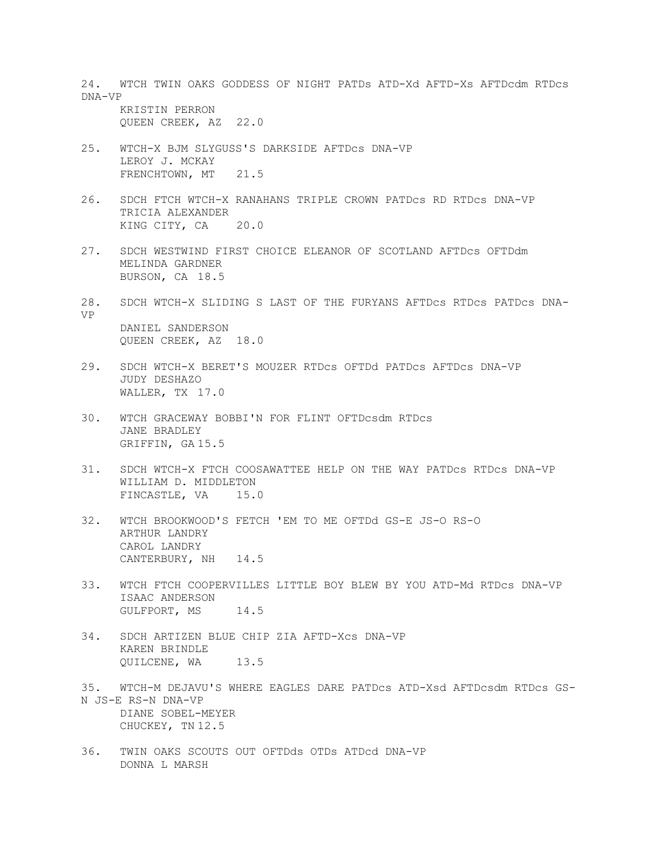24. WTCH TWIN OAKS GODDESS OF NIGHT PATDs ATD-Xd AFTD-Xs AFTDcdm RTDcs DNA-VP KRISTIN PERRON

QUEEN CREEK, AZ 22.0

- 25. WTCH-X BJM SLYGUSS'S DARKSIDE AFTDcs DNA-VP LEROY J. MCKAY FRENCHTOWN, MT 21.5
- 26. SDCH FTCH WTCH-X RANAHANS TRIPLE CROWN PATDcs RD RTDcs DNA-VP TRICIA ALEXANDER KING CITY, CA 20.0
- 27. SDCH WESTWIND FIRST CHOICE ELEANOR OF SCOTLAND AFTDcs OFTDdm MELINDA GARDNER BURSON, CA 18.5
- 28. SDCH WTCH-X SLIDING S LAST OF THE FURYANS AFTDcs RTDcs PATDcs DNA-VP DANIEL SANDERSON QUEEN CREEK, AZ 18.0
- 29. SDCH WTCH-X BERET'S MOUZER RTDcs OFTDd PATDcs AFTDcs DNA-VP JUDY DESHAZO WALLER, TX 17.0
- 30. WTCH GRACEWAY BOBBI'N FOR FLINT OFTDcsdm RTDcs JANE BRADLEY GRIFFIN, GA 15.5
- 31. SDCH WTCH-X FTCH COOSAWATTEE HELP ON THE WAY PATDcs RTDcs DNA-VP WILLIAM D. MIDDLETON FINCASTLE, VA 15.0
- 32. WTCH BROOKWOOD'S FETCH 'EM TO ME OFTDd GS-E JS-O RS-O ARTHUR LANDRY CAROL LANDRY CANTERBURY, NH 14.5
- 33. WTCH FTCH COOPERVILLES LITTLE BOY BLEW BY YOU ATD-Md RTDcs DNA-VP ISAAC ANDERSON GULFPORT, MS 14.5
- 34. SDCH ARTIZEN BLUE CHIP ZIA AFTD-Xcs DNA-VP KAREN BRINDLE QUILCENE, WA 13.5
- 35. WTCH-M DEJAVU'S WHERE EAGLES DARE PATDcs ATD-Xsd AFTDcsdm RTDcs GS-N JS-E RS-N DNA-VP DIANE SOBEL-MEYER CHUCKEY, TN 12.5
- 36. TWIN OAKS SCOUTS OUT OFTDds OTDs ATDcd DNA-VP DONNA L MARSH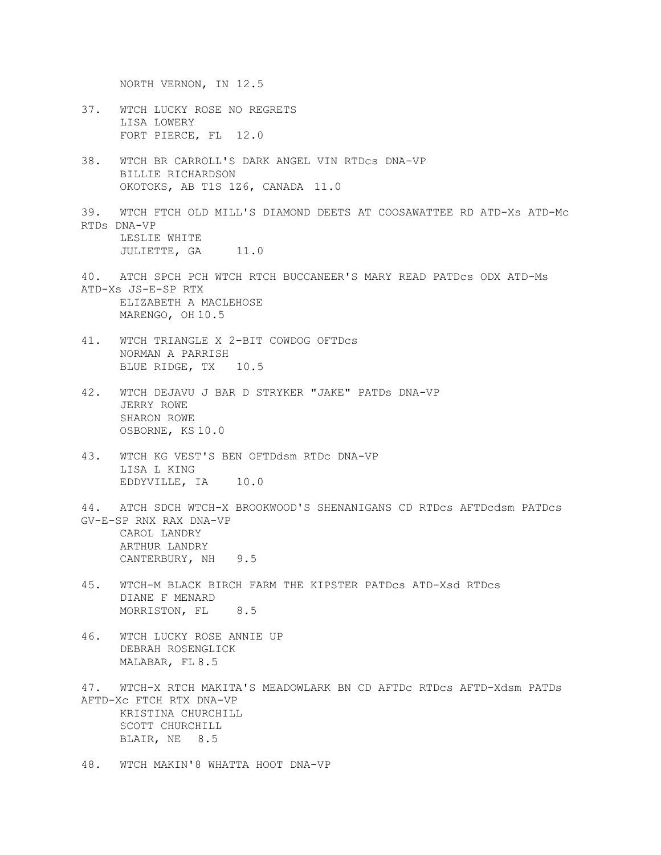NORTH VERNON, IN 12.5

- 37. WTCH LUCKY ROSE NO REGRETS LISA LOWERY FORT PIERCE, FL 12.0 38. WTCH BR CARROLL'S DARK ANGEL VIN RTDcs DNA-VP BILLIE RICHARDSON OKOTOKS, AB T1S 1Z6, CANADA 11.0 39. WTCH FTCH OLD MILL'S DIAMOND DEETS AT COOSAWATTEE RD ATD-Xs ATD-Mc RTDs DNA-VP LESLIE WHITE JULIETTE, GA 11.0 40. ATCH SPCH PCH WTCH RTCH BUCCANEER'S MARY READ PATDcs ODX ATD-Ms ATD-Xs JS-E-SP RTX ELIZABETH A MACLEHOSE MARENGO, OH 10.5 41. WTCH TRIANGLE X 2-BIT COWDOG OFTDcs NORMAN A PARRISH BLUE RIDGE, TX 10.5 42. WTCH DEJAVU J BAR D STRYKER "JAKE" PATDs DNA-VP JERRY ROWE SHARON ROWE OSBORNE, KS 10.0 43. WTCH KG VEST'S BEN OFTDdsm RTDc DNA-VP LISA L KING EDDYVILLE, IA 10.0 44. ATCH SDCH WTCH-X BROOKWOOD'S SHENANIGANS CD RTDcs AFTDcdsm PATDcs GV-E-SP RNX RAX DNA-VP CAROL LANDRY ARTHUR LANDRY CANTERBURY, NH 9.5 45. WTCH-M BLACK BIRCH FARM THE KIPSTER PATDcs ATD-Xsd RTDcs DIANE F MENARD MORRISTON, FL<sub>8.5</sub> 46. WTCH LUCKY ROSE ANNIE UP DEBRAH ROSENGLICK MALABAR, FL 8.5 47. WTCH-X RTCH MAKITA'S MEADOWLARK BN CD AFTDc RTDcs AFTD-Xdsm PATDs AFTD-Xc FTCH RTX DNA-VP KRISTINA CHURCHILL SCOTT CHURCHILL BLAIR, NE 8.5
- 48. WTCH MAKIN'8 WHATTA HOOT DNA-VP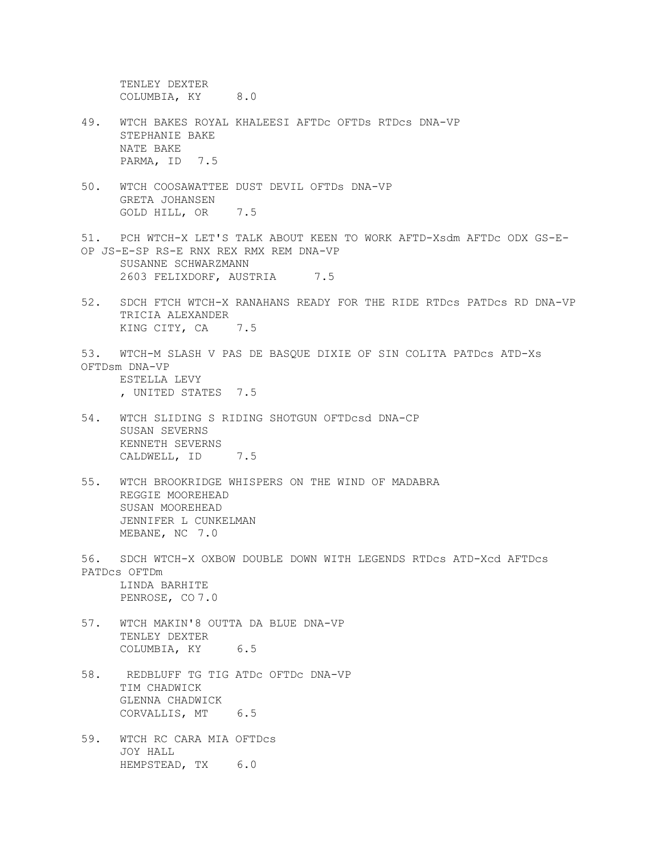TENLEY DEXTER COLUMBIA, KY 8.0

- 49. WTCH BAKES ROYAL KHALEESI AFTDc OFTDs RTDcs DNA-VP STEPHANIE BAKE NATE BAKE PARMA, ID 7.5
- 50. WTCH COOSAWATTEE DUST DEVIL OFTDs DNA-VP GRETA JOHANSEN GOLD HILL, OR 7.5
- 51. PCH WTCH-X LET'S TALK ABOUT KEEN TO WORK AFTD-Xsdm AFTDc ODX GS-E-OP JS-E-SP RS-E RNX REX RMX REM DNA-VP SUSANNE SCHWARZMANN 2603 FELIXDORF, AUSTRIA 7.5
- 52. SDCH FTCH WTCH-X RANAHANS READY FOR THE RIDE RTDcs PATDcs RD DNA-VP TRICIA ALEXANDER KING CITY, CA 7.5
- 53. WTCH-M SLASH V PAS DE BASQUE DIXIE OF SIN COLITA PATDcs ATD-Xs OFTDsm DNA-VP ESTELLA LEVY , UNITED STATES 7.5
- 54. WTCH SLIDING S RIDING SHOTGUN OFTDcsd DNA-CP SUSAN SEVERNS KENNETH SEVERNS CALDWELL, ID 7.5
- 55. WTCH BROOKRIDGE WHISPERS ON THE WIND OF MADABRA REGGIE MOOREHEAD SUSAN MOOREHEAD JENNIFER L CUNKELMAN MEBANE, NC 7.0
- 56. SDCH WTCH-X OXBOW DOUBLE DOWN WITH LEGENDS RTDcs ATD-Xcd AFTDcs PATDcs OFTDm LINDA BARHITE

PENROSE, CO 7.0

- 57. WTCH MAKIN'8 OUTTA DA BLUE DNA-VP TENLEY DEXTER COLUMBIA, KY 6.5
- 58. REDBLUFF TG TIG ATDc OFTDc DNA-VP TIM CHADWICK GLENNA CHADWICK CORVALLIS, MT 6.5
- 59. WTCH RC CARA MIA OFTDcs JOY HALL HEMPSTEAD, TX 6.0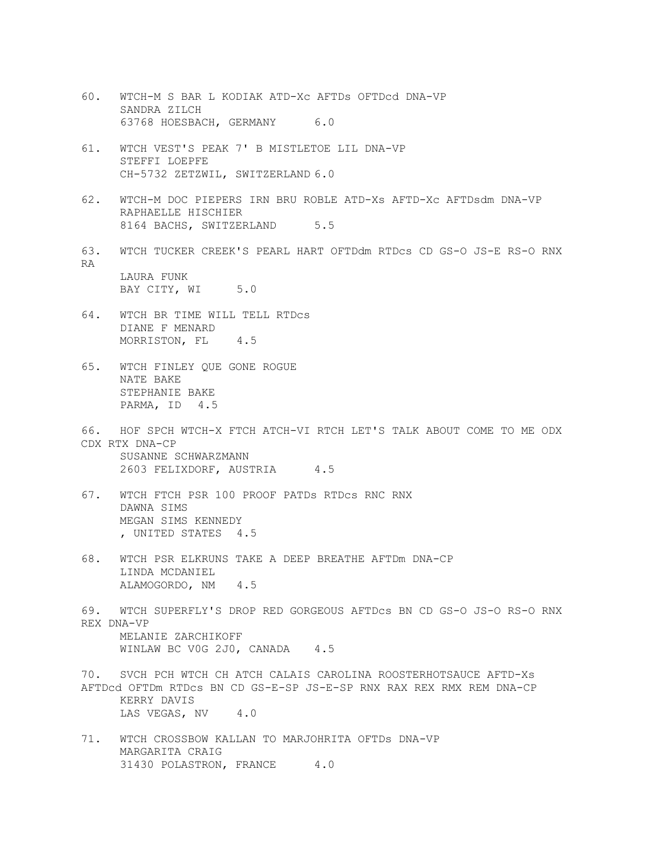- 60. WTCH-M S BAR L KODIAK ATD-Xc AFTDs OFTDcd DNA-VP SANDRA ZILCH 63768 HOESBACH, GERMANY 6.0
- 61. WTCH VEST'S PEAK 7' B MISTLETOE LIL DNA-VP STEFFI LOEPFE CH-5732 ZETZWIL, SWITZERLAND 6.0
- 62. WTCH-M DOC PIEPERS IRN BRU ROBLE ATD-Xs AFTD-Xc AFTDsdm DNA-VP RAPHAELLE HISCHIER 8164 BACHS, SWITZERLAND 5.5
- 63. WTCH TUCKER CREEK'S PEARL HART OFTDdm RTDcs CD GS-O JS-E RS-O RNX RA LAURA FUNK BAY CITY, WI 5.0
- 64. WTCH BR TIME WILL TELL RTDcs DIANE F MENARD MORRISTON, FL<sub>4.5</sub>
- 65. WTCH FINLEY QUE GONE ROGUE NATE BAKE STEPHANIE BAKE PARMA, ID 4.5
- 66. HOF SPCH WTCH-X FTCH ATCH-VI RTCH LET'S TALK ABOUT COME TO ME ODX CDX RTX DNA-CP SUSANNE SCHWARZMANN 2603 FELIXDORF, AUSTRIA 4.5
- 67. WTCH FTCH PSR 100 PROOF PATDs RTDcs RNC RNX DAWNA SIMS MEGAN SIMS KENNEDY , UNITED STATES 4.5
- 68. WTCH PSR ELKRUNS TAKE A DEEP BREATHE AFTDm DNA-CP LINDA MCDANIEL ALAMOGORDO, NM 4.5
- 69. WTCH SUPERFLY'S DROP RED GORGEOUS AFTDcs BN CD GS-O JS-O RS-O RNX REX DNA-VP MELANIE ZARCHIKOFF WINLAW BC VOG 2JO, CANADA 4.5
- 70. SVCH PCH WTCH CH ATCH CALAIS CAROLINA ROOSTERHOTSAUCE AFTD-Xs AFTDcd OFTDm RTDcs BN CD GS-E-SP JS-E-SP RNX RAX REX RMX REM DNA-CP KERRY DAVIS LAS VEGAS, NV 4.0
- 71. WTCH CROSSBOW KALLAN TO MARJOHRITA OFTDs DNA-VP MARGARITA CRAIG 31430 POLASTRON, FRANCE 4.0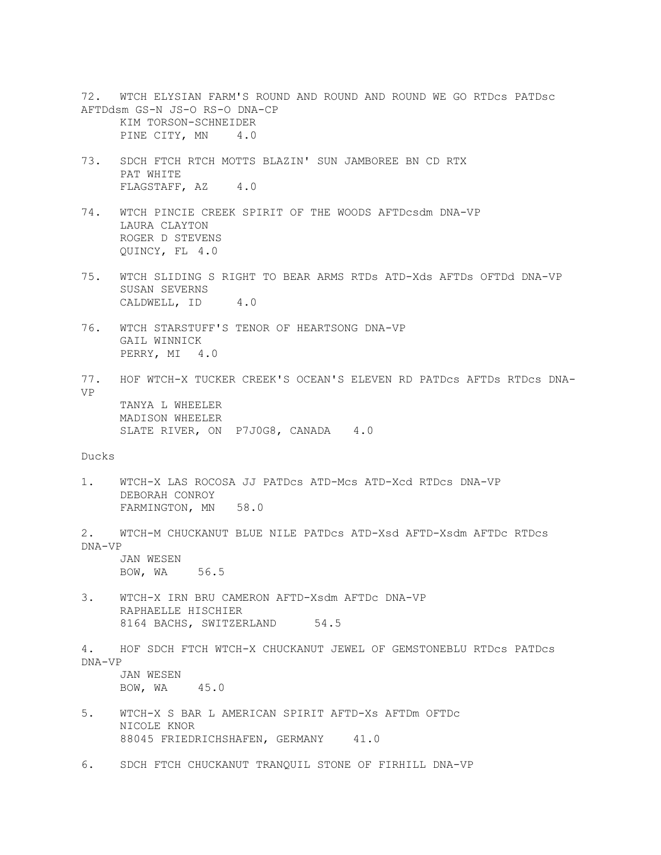72. WTCH ELYSIAN FARM'S ROUND AND ROUND AND ROUND WE GO RTDcs PATDsc AFTDdsm GS-N JS-O RS-O DNA-CP KIM TORSON-SCHNEIDER PINE CITY, MN 4.0 73. SDCH FTCH RTCH MOTTS BLAZIN' SUN JAMBOREE BN CD RTX PAT WHITE FLAGSTAFF, AZ 4.0 74. WTCH PINCIE CREEK SPIRIT OF THE WOODS AFTDcsdm DNA-VP LAURA CLAYTON ROGER D STEVENS QUINCY, FL 4.0 75. WTCH SLIDING S RIGHT TO BEAR ARMS RTDs ATD-Xds AFTDs OFTDd DNA-VP SUSAN SEVERNS CALDWELL, ID 4.0 76. WTCH STARSTUFF'S TENOR OF HEARTSONG DNA-VP GAIL WINNICK PERRY, MI 4.0 77. HOF WTCH-X TUCKER CREEK'S OCEAN'S ELEVEN RD PATDcs AFTDs RTDcs DNA-VP TANYA L WHEELER MADISON WHEELER SLATE RIVER, ON P7J0G8, CANADA 4.0 Ducks 1. WTCH-X LAS ROCOSA JJ PATDcs ATD-Mcs ATD-Xcd RTDcs DNA-VP DEBORAH CONROY FARMINGTON, MN 58.0 2. WTCH-M CHUCKANUT BLUE NILE PATDcs ATD-Xsd AFTD-Xsdm AFTDc RTDcs DNA-VP JAN WESEN BOW, WA 56.5 3. WTCH-X IRN BRU CAMERON AFTD-Xsdm AFTDc DNA-VP RAPHAELLE HISCHIER 8164 BACHS, SWITZERLAND 54.5 4. HOF SDCH FTCH WTCH-X CHUCKANUT JEWEL OF GEMSTONEBLU RTDcs PATDcs DNA-VP JAN WESEN BOW, WA 45.0 5. WTCH-X S BAR L AMERICAN SPIRIT AFTD-Xs AFTDm OFTDc NICOLE KNOR 88045 FRIEDRICHSHAFEN, GERMANY 41.0 6. SDCH FTCH CHUCKANUT TRANQUIL STONE OF FIRHILL DNA-VP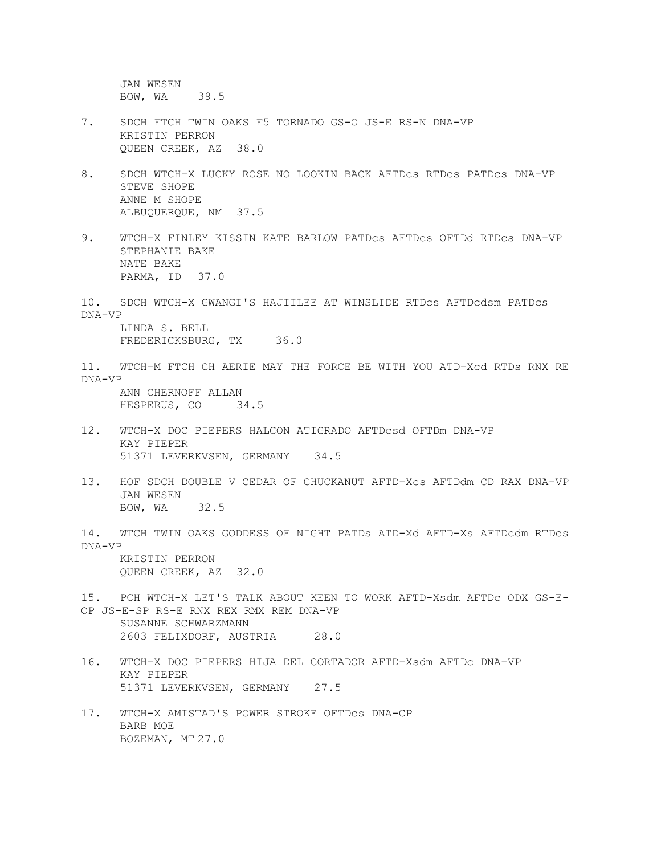JAN WESEN BOW, WA 39.5

- 7. SDCH FTCH TWIN OAKS F5 TORNADO GS-O JS-E RS-N DNA-VP KRISTIN PERRON QUEEN CREEK, AZ 38.0
- 8. SDCH WTCH-X LUCKY ROSE NO LOOKIN BACK AFTDcs RTDcs PATDcs DNA-VP STEVE SHOPE ANNE M SHOPE ALBUQUERQUE, NM 37.5
- 9. WTCH-X FINLEY KISSIN KATE BARLOW PATDcs AFTDcs OFTDd RTDcs DNA-VP STEPHANIE BAKE NATE BAKE PARMA, ID 37.0
- 10. SDCH WTCH-X GWANGI'S HAJIILEE AT WINSLIDE RTDcs AFTDcdsm PATDcs DNA-VP LINDA S. BELL FREDERICKSBURG, TX 36.0
- 11. WTCH-M FTCH CH AERIE MAY THE FORCE BE WITH YOU ATD-Xcd RTDs RNX RE DNA-VP ANN CHERNOFF ALLAN

HESPERUS, CO 34.5

- 12. WTCH-X DOC PIEPERS HALCON ATIGRADO AFTDcsd OFTDm DNA-VP KAY PIEPER 51371 LEVERKVSEN, GERMANY 34.5
- 13. HOF SDCH DOUBLE V CEDAR OF CHUCKANUT AFTD-Xcs AFTDdm CD RAX DNA-VP JAN WESEN BOW, WA 32.5

14. WTCH TWIN OAKS GODDESS OF NIGHT PATDs ATD-Xd AFTD-Xs AFTDcdm RTDcs DNA-VP KRISTIN PERRON QUEEN CREEK, AZ 32.0

15. PCH WTCH-X LET'S TALK ABOUT KEEN TO WORK AFTD-Xsdm AFTDc ODX GS-E-OP JS-E-SP RS-E RNX REX RMX REM DNA-VP SUSANNE SCHWARZMANN

2603 FELIXDORF, AUSTRIA 28.0

- 16. WTCH-X DOC PIEPERS HIJA DEL CORTADOR AFTD-Xsdm AFTDc DNA-VP KAY PIEPER 51371 LEVERKVSEN, GERMANY 27.5
- 17. WTCH-X AMISTAD'S POWER STROKE OFTDcs DNA-CP BARB MOE BOZEMAN, MT 27.0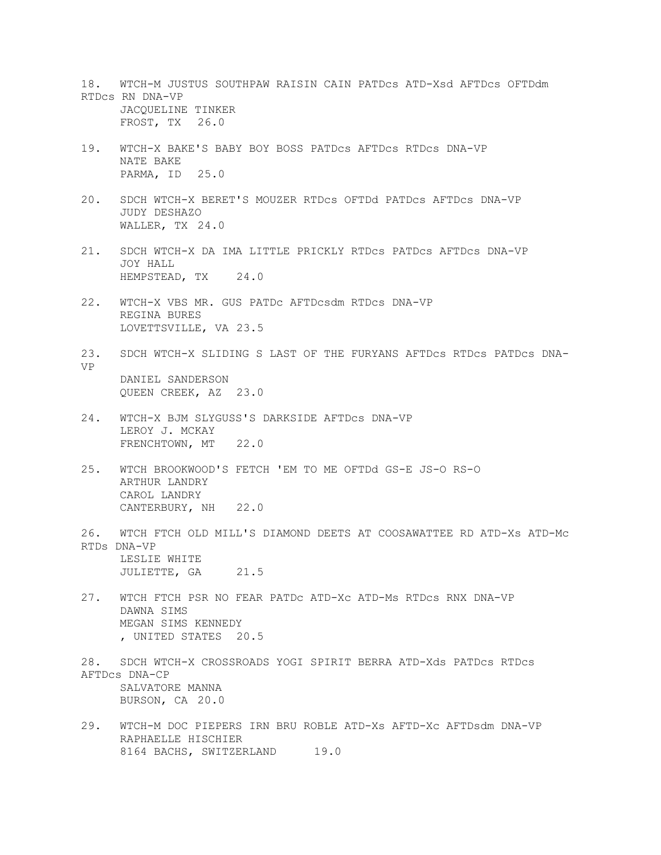- 18. WTCH-M JUSTUS SOUTHPAW RAISIN CAIN PATDcs ATD-Xsd AFTDcs OFTDdm RTDcs RN DNA-VP JACQUELINE TINKER FROST, TX 26.0
- 19. WTCH-X BAKE'S BABY BOY BOSS PATDcs AFTDcs RTDcs DNA-VP NATE BAKE PARMA, ID 25.0
- 20. SDCH WTCH-X BERET'S MOUZER RTDcs OFTDd PATDcs AFTDcs DNA-VP JUDY DESHAZO WALLER, TX 24.0
- 21. SDCH WTCH-X DA IMA LITTLE PRICKLY RTDcs PATDcs AFTDcs DNA-VP JOY HALL HEMPSTEAD, TX 24.0
- 22. WTCH-X VBS MR. GUS PATDc AFTDcsdm RTDcs DNA-VP REGINA BURES LOVETTSVILLE, VA 23.5
- 23. SDCH WTCH-X SLIDING S LAST OF THE FURYANS AFTDcs RTDcs PATDcs DNA-VP DANIEL SANDERSON QUEEN CREEK, AZ 23.0
- 24. WTCH-X BJM SLYGUSS'S DARKSIDE AFTDcs DNA-VP LEROY J. MCKAY FRENCHTOWN, MT 22.0
- 25. WTCH BROOKWOOD'S FETCH 'EM TO ME OFTDd GS-E JS-O RS-O ARTHUR LANDRY CAROL LANDRY CANTERBURY, NH 22.0
- 26. WTCH FTCH OLD MILL'S DIAMOND DEETS AT COOSAWATTEE RD ATD-Xs ATD-Mc RTDs DNA-VP LESLIE WHITE JULIETTE, GA 21.5
- 27. WTCH FTCH PSR NO FEAR PATDc ATD-Xc ATD-Ms RTDcs RNX DNA-VP DAWNA SIMS MEGAN SIMS KENNEDY , UNITED STATES 20.5
- 28. SDCH WTCH-X CROSSROADS YOGI SPIRIT BERRA ATD-Xds PATDcs RTDcs AFTDcs DNA-CP SALVATORE MANNA BURSON, CA 20.0
- 29. WTCH-M DOC PIEPERS IRN BRU ROBLE ATD-Xs AFTD-Xc AFTDsdm DNA-VP RAPHAELLE HISCHIER 8164 BACHS, SWITZERLAND 19.0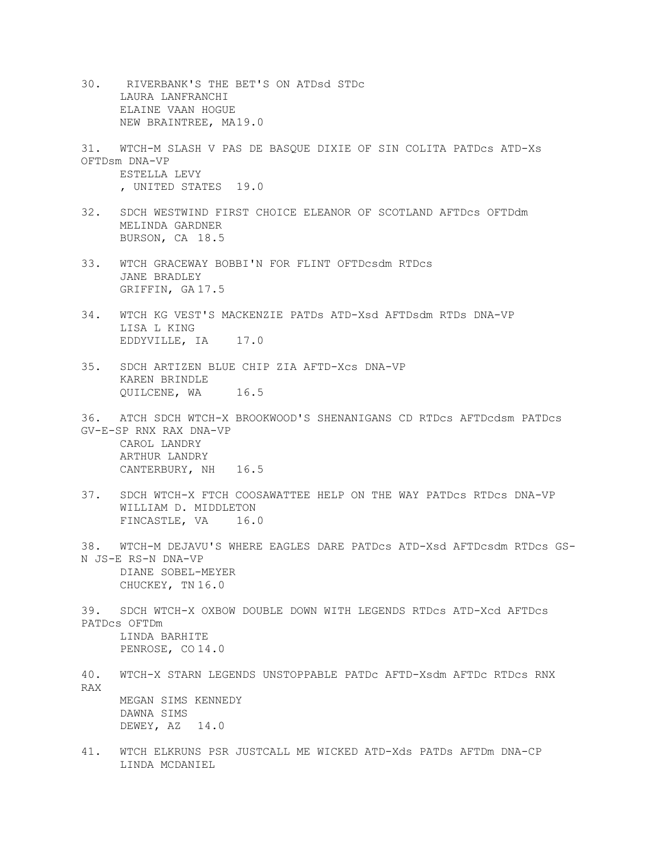- 30. RIVERBANK'S THE BET'S ON ATDsd STDc LAURA LANFRANCHI ELAINE VAAN HOGUE NEW BRAINTREE, MA19.0
- 31. WTCH-M SLASH V PAS DE BASQUE DIXIE OF SIN COLITA PATDcs ATD-Xs OFTDsm DNA-VP ESTELLA LEVY , UNITED STATES 19.0
- 32. SDCH WESTWIND FIRST CHOICE ELEANOR OF SCOTLAND AFTDcs OFTDdm MELINDA GARDNER BURSON, CA 18.5
- 33. WTCH GRACEWAY BOBBI'N FOR FLINT OFTDcsdm RTDcs JANE BRADLEY GRIFFIN, GA 17.5
- 34. WTCH KG VEST'S MACKENZIE PATDs ATD-Xsd AFTDsdm RTDs DNA-VP LISA L KING EDDYVILLE, IA 17.0
- 35. SDCH ARTIZEN BLUE CHIP ZIA AFTD-Xcs DNA-VP KAREN BRINDLE QUILCENE, WA 16.5
- 36. ATCH SDCH WTCH-X BROOKWOOD'S SHENANIGANS CD RTDcs AFTDcdsm PATDcs GV-E-SP RNX RAX DNA-VP CAROL LANDRY ARTHUR LANDRY CANTERBURY, NH 16.5
- 37. SDCH WTCH-X FTCH COOSAWATTEE HELP ON THE WAY PATDcs RTDcs DNA-VP WILLIAM D. MIDDLETON FINCASTLE, VA 16.0
- 38. WTCH-M DEJAVU'S WHERE EAGLES DARE PATDcs ATD-Xsd AFTDcsdm RTDcs GS-N JS-E RS-N DNA-VP DIANE SOBEL-MEYER CHUCKEY, TN 16.0
- 39. SDCH WTCH-X OXBOW DOUBLE DOWN WITH LEGENDS RTDcs ATD-Xcd AFTDcs PATDcs OFTDm LINDA BARHITE PENROSE, CO 14.0
- 40. WTCH-X STARN LEGENDS UNSTOPPABLE PATDc AFTD-Xsdm AFTDc RTDcs RNX RAX MEGAN SIMS KENNEDY DAWNA SIMS DEWEY, AZ 14.0
- 41. WTCH ELKRUNS PSR JUSTCALL ME WICKED ATD-Xds PATDs AFTDm DNA-CP LINDA MCDANIEL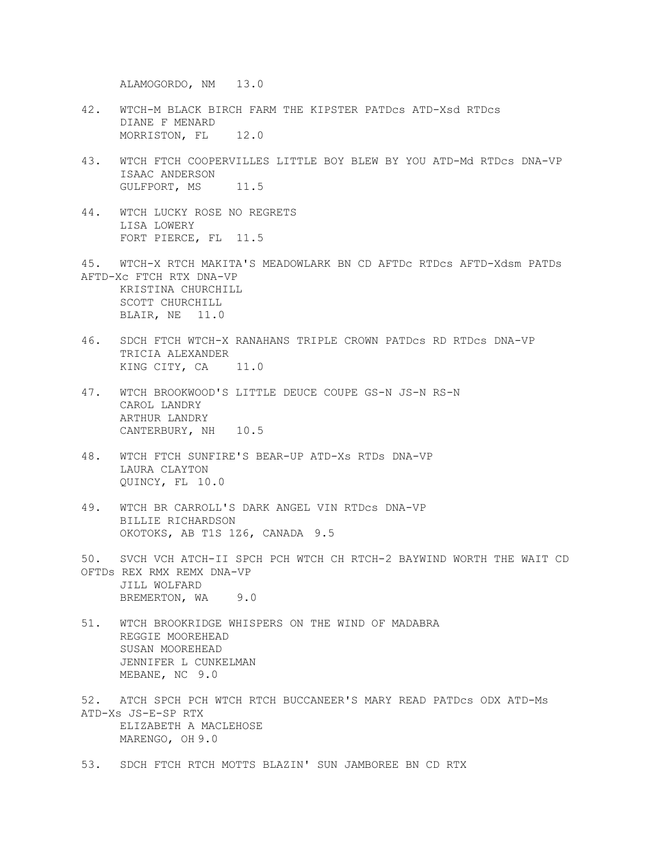ALAMOGORDO, NM 13.0

- 42. WTCH-M BLACK BIRCH FARM THE KIPSTER PATDcs ATD-Xsd RTDcs DIANE F MENARD MORRISTON, FL 12.0
- 43. WTCH FTCH COOPERVILLES LITTLE BOY BLEW BY YOU ATD-Md RTDcs DNA-VP ISAAC ANDERSON GULFPORT, MS 11.5
- 44. WTCH LUCKY ROSE NO REGRETS LISA LOWERY FORT PIERCE, FL 11.5
- 45. WTCH-X RTCH MAKITA'S MEADOWLARK BN CD AFTDc RTDcs AFTD-Xdsm PATDs AFTD-Xc FTCH RTX DNA-VP KRISTINA CHURCHILL SCOTT CHURCHILL BLAIR, NE 11.0
- 46. SDCH FTCH WTCH-X RANAHANS TRIPLE CROWN PATDcs RD RTDcs DNA-VP TRICIA ALEXANDER KING CITY, CA 11.0
- 47. WTCH BROOKWOOD'S LITTLE DEUCE COUPE GS-N JS-N RS-N CAROL LANDRY ARTHUR LANDRY CANTERBURY, NH 10.5
- 48. WTCH FTCH SUNFIRE'S BEAR-UP ATD-Xs RTDs DNA-VP LAURA CLAYTON QUINCY, FL 10.0
- 49. WTCH BR CARROLL'S DARK ANGEL VIN RTDcs DNA-VP BILLIE RICHARDSON OKOTOKS, AB T1S 1Z6, CANADA 9.5
- 50. SVCH VCH ATCH-II SPCH PCH WTCH CH RTCH-2 BAYWIND WORTH THE WAIT CD OFTDs REX RMX REMX DNA-VP JILL WOLFARD BREMERTON, WA 9.0
- 51. WTCH BROOKRIDGE WHISPERS ON THE WIND OF MADABRA REGGIE MOOREHEAD SUSAN MOOREHEAD JENNIFER L CUNKELMAN MEBANE, NC 9.0

52. ATCH SPCH PCH WTCH RTCH BUCCANEER'S MARY READ PATDcs ODX ATD-Ms ATD-Xs JS-E-SP RTX ELIZABETH A MACLEHOSE MARENGO, OH 9.0

53. SDCH FTCH RTCH MOTTS BLAZIN' SUN JAMBOREE BN CD RTX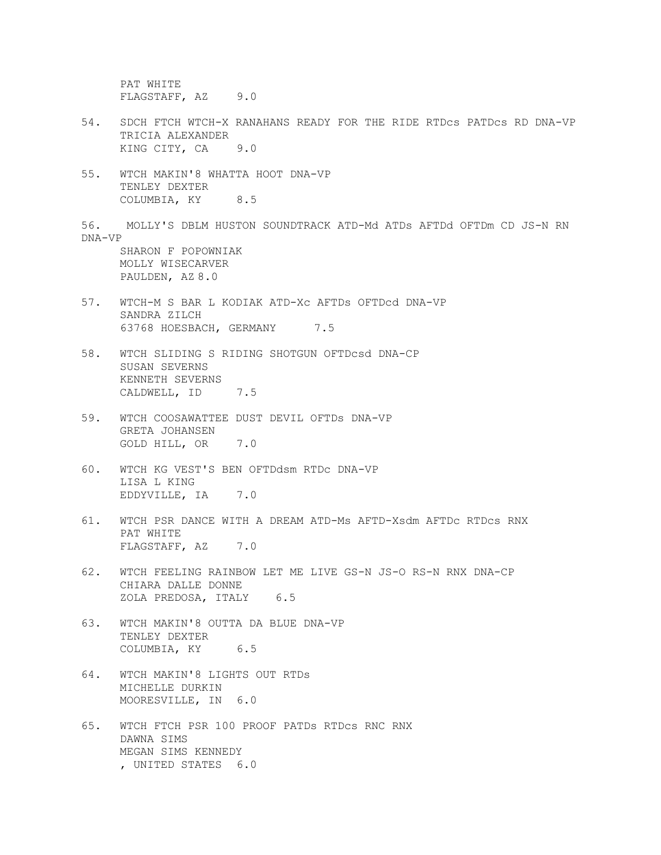PAT WHITE FLAGSTAFF, AZ 9.0

- 54. SDCH FTCH WTCH-X RANAHANS READY FOR THE RIDE RTDcs PATDcs RD DNA-VP TRICIA ALEXANDER KING CITY, CA 9.0
- 55. WTCH MAKIN'8 WHATTA HOOT DNA-VP TENLEY DEXTER COLUMBIA, KY 8.5

56. MOLLY'S DBLM HUSTON SOUNDTRACK ATD-Md ATDs AFTDd OFTDm CD JS-N RN DNA-VP SHARON F POPOWNIAK MOLLY WISECARVER PAULDEN, AZ 8.0

- 57. WTCH-M S BAR L KODIAK ATD-Xc AFTDs OFTDcd DNA-VP SANDRA ZILCH 63768 HOESBACH, GERMANY 7.5
- 58. WTCH SLIDING S RIDING SHOTGUN OFTDcsd DNA-CP SUSAN SEVERNS KENNETH SEVERNS CALDWELL, ID 7.5
- 59. WTCH COOSAWATTEE DUST DEVIL OFTDs DNA-VP GRETA JOHANSEN GOLD HILL, OR 7.0
- 60. WTCH KG VEST'S BEN OFTDdsm RTDc DNA-VP LISA L KING EDDYVILLE, IA 7.0
- 61. WTCH PSR DANCE WITH A DREAM ATD-Ms AFTD-Xsdm AFTDc RTDcs RNX PAT WHITE FLAGSTAFF, AZ 7.0
- 62. WTCH FEELING RAINBOW LET ME LIVE GS-N JS-O RS-N RNX DNA-CP CHIARA DALLE DONNE ZOLA PREDOSA, ITALY 6.5
- 63. WTCH MAKIN'8 OUTTA DA BLUE DNA-VP TENLEY DEXTER COLUMBIA, KY 6.5
- 64. WTCH MAKIN'8 LIGHTS OUT RTDs MICHELLE DURKIN MOORESVILLE, IN 6.0
- 65. WTCH FTCH PSR 100 PROOF PATDs RTDcs RNC RNX DAWNA SIMS MEGAN SIMS KENNEDY , UNITED STATES 6.0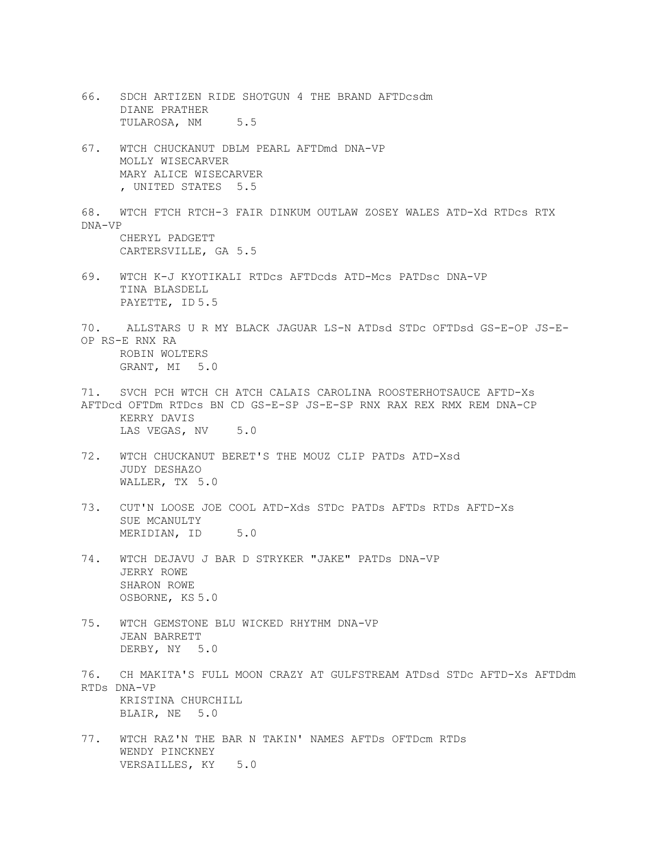66. SDCH ARTIZEN RIDE SHOTGUN 4 THE BRAND AFTDcsdm DIANE PRATHER TULAROSA, NM 5.5 67. WTCH CHUCKANUT DBLM PEARL AFTDmd DNA-VP MOLLY WISECARVER MARY ALICE WISECARVER , UNITED STATES 5.5 68. WTCH FTCH RTCH-3 FAIR DINKUM OUTLAW ZOSEY WALES ATD-Xd RTDcs RTX DNA-VP CHERYL PADGETT CARTERSVILLE, GA 5.5 69. WTCH K-J KYOTIKALI RTDcs AFTDcds ATD-Mcs PATDsc DNA-VP TINA BLASDELL PAYETTE, ID 5.5 70. ALLSTARS U R MY BLACK JAGUAR LS-N ATDsd STDc OFTDsd GS-E-OP JS-E-OP RS-E RNX RA ROBIN WOLTERS GRANT, MI 5.0 71. SVCH PCH WTCH CH ATCH CALAIS CAROLINA ROOSTERHOTSAUCE AFTD-Xs AFTDcd OFTDm RTDcs BN CD GS-E-SP JS-E-SP RNX RAX REX RMX REM DNA-CP KERRY DAVIS LAS VEGAS, NV 5.0 72. WTCH CHUCKANUT BERET'S THE MOUZ CLIP PATDs ATD-Xsd JUDY DESHAZO WALLER, TX 5.0 73. CUT'N LOOSE JOE COOL ATD-Xds STDc PATDs AFTDs RTDs AFTD-Xs SUE MCANULTY MERIDIAN, ID 5.0 74. WTCH DEJAVU J BAR D STRYKER "JAKE" PATDs DNA-VP JERRY ROWE SHARON ROWE OSBORNE, KS 5.0 75. WTCH GEMSTONE BLU WICKED RHYTHM DNA-VP JEAN BARRETT DERBY, NY 5.0 76. CH MAKITA'S FULL MOON CRAZY AT GULFSTREAM ATDsd STDc AFTD-Xs AFTDdm RTDs DNA-VP KRISTINA CHURCHILL BLAIR, NE 5.0 77. WTCH RAZ'N THE BAR N TAKIN' NAMES AFTDs OFTDcm RTDs WENDY PINCKNEY VERSAILLES, KY 5.0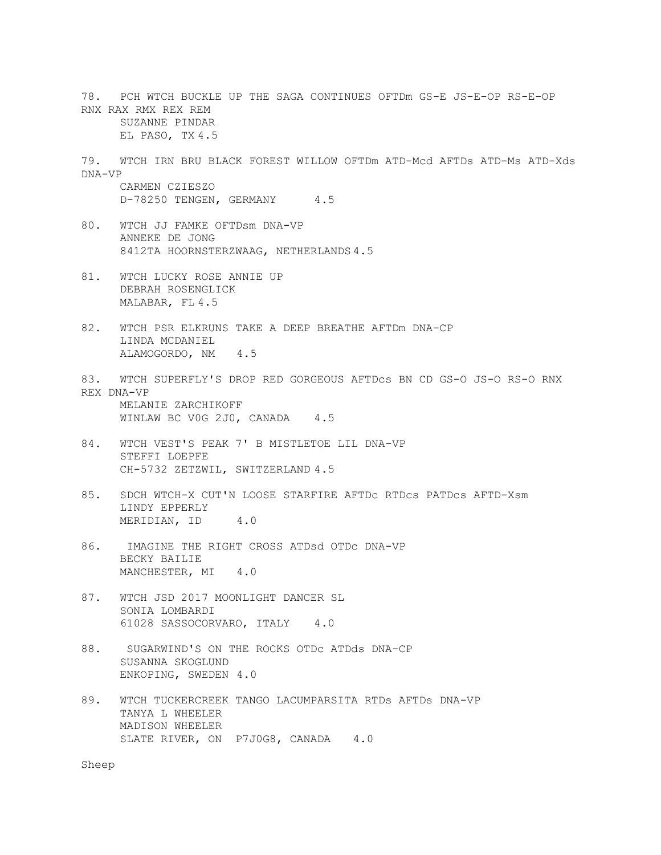78. PCH WTCH BUCKLE UP THE SAGA CONTINUES OFTDm GS-E JS-E-OP RS-E-OP RNX RAX RMX REX REM SUZANNE PINDAR EL PASO, TX 4.5 79. WTCH IRN BRU BLACK FOREST WILLOW OFTDm ATD-Mcd AFTDs ATD-Ms ATD-Xds DNA-VP CARMEN CZIESZO D-78250 TENGEN, GERMANY 4.5 80. WTCH JJ FAMKE OFTDsm DNA-VP ANNEKE DE JONG 8412TA HOORNSTERZWAAG, NETHERLANDS 4.5 81. WTCH LUCKY ROSE ANNIE UP DEBRAH ROSENGLICK MALABAR, FL 4.5 82. WTCH PSR ELKRUNS TAKE A DEEP BREATHE AFTDm DNA-CP LINDA MCDANIEL ALAMOGORDO, NM 4.5 83. WTCH SUPERFLY'S DROP RED GORGEOUS AFTDcs BN CD GS-O JS-O RS-O RNX REX DNA-VP MELANIE ZARCHIKOFF WINLAW BC VOG 2JO, CANADA 4.5 84. WTCH VEST'S PEAK 7' B MISTLETOE LIL DNA-VP STEFFI LOEPFE CH-5732 ZETZWIL, SWITZERLAND 4.5 85. SDCH WTCH-X CUT'N LOOSE STARFIRE AFTDc RTDcs PATDcs AFTD-Xsm LINDY EPPERLY MERIDIAN, ID 4.0 86. IMAGINE THE RIGHT CROSS ATDsd OTDc DNA-VP BECKY BAILIE MANCHESTER, MI 4.0 87. WTCH JSD 2017 MOONLIGHT DANCER SL SONIA LOMBARDI 61028 SASSOCORVARO, ITALY 4.0 88. SUGARWIND'S ON THE ROCKS OTDc ATDds DNA-CP SUSANNA SKOGLUND ENKOPING, SWEDEN 4.0 89. WTCH TUCKERCREEK TANGO LACUMPARSITA RTDs AFTDs DNA-VP TANYA L WHEELER MADISON WHEELER SLATE RIVER, ON P7J0G8, CANADA 4.0

Sheep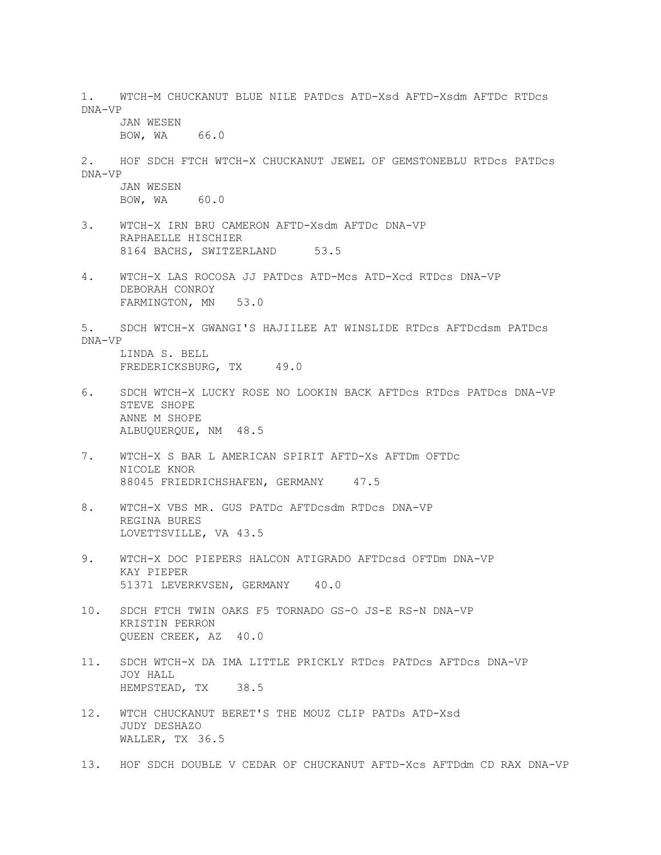1. WTCH-M CHUCKANUT BLUE NILE PATDcs ATD-Xsd AFTD-Xsdm AFTDc RTDcs DNA-VP

JAN WESEN BOW, WA 66.0

2. HOF SDCH FTCH WTCH-X CHUCKANUT JEWEL OF GEMSTONEBLU RTDcs PATDcs DNA-VP

JAN WESEN BOW, WA 60.0

- 3. WTCH-X IRN BRU CAMERON AFTD-Xsdm AFTDc DNA-VP RAPHAELLE HISCHIER 8164 BACHS, SWITZERLAND 53.5
- 4. WTCH-X LAS ROCOSA JJ PATDcs ATD-Mcs ATD-Xcd RTDcs DNA-VP DEBORAH CONROY FARMINGTON, MN 53.0

5. SDCH WTCH-X GWANGI'S HAJIILEE AT WINSLIDE RTDcs AFTDcdsm PATDcs DNA-VP LINDA S. BELL

FREDERICKSBURG, TX 49.0

- 6. SDCH WTCH-X LUCKY ROSE NO LOOKIN BACK AFTDcs RTDcs PATDcs DNA-VP STEVE SHOPE ANNE M SHOPE ALBUQUERQUE, NM 48.5
- 7. WTCH-X S BAR L AMERICAN SPIRIT AFTD-Xs AFTDm OFTDc NICOLE KNOR 88045 FRIEDRICHSHAFEN, GERMANY 47.5
- 8. WTCH-X VBS MR. GUS PATDc AFTDcsdm RTDcs DNA-VP REGINA BURES LOVETTSVILLE, VA 43.5
- 9. WTCH-X DOC PIEPERS HALCON ATIGRADO AFTDcsd OFTDm DNA-VP KAY PIEPER 51371 LEVERKVSEN, GERMANY 40.0
- 10. SDCH FTCH TWIN OAKS F5 TORNADO GS-O JS-E RS-N DNA-VP KRISTIN PERRON QUEEN CREEK, AZ 40.0
- 11. SDCH WTCH-X DA IMA LITTLE PRICKLY RTDcs PATDcs AFTDcs DNA-VP JOY HALL HEMPSTEAD, TX 38.5
- 12. WTCH CHUCKANUT BERET'S THE MOUZ CLIP PATDs ATD-Xsd JUDY DESHAZO WALLER, TX 36.5

13. HOF SDCH DOUBLE V CEDAR OF CHUCKANUT AFTD-Xcs AFTDdm CD RAX DNA-VP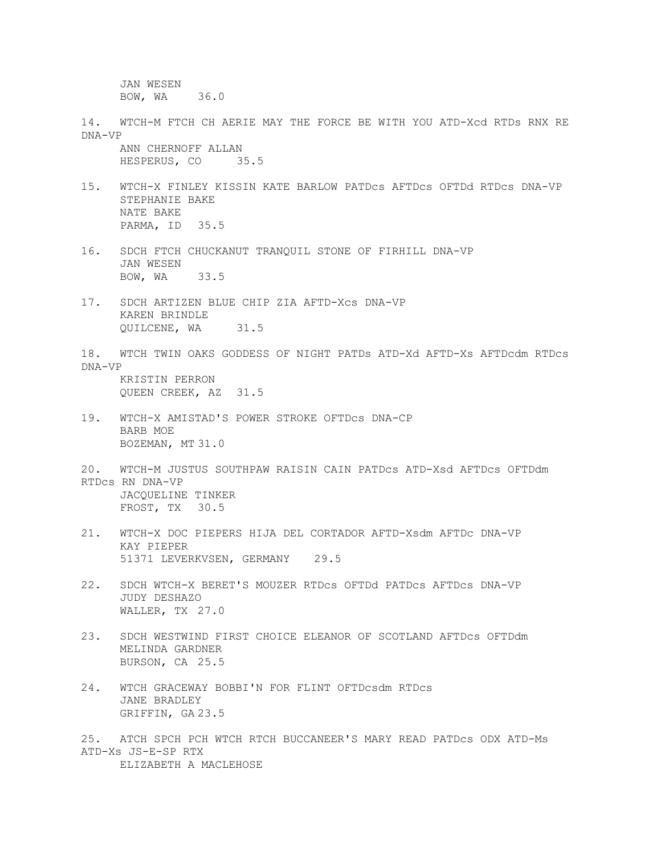JAN WESEN BOW, WA 36.0

14. WTCH-M FTCH CH AERIE MAY THE FORCE BE WITH YOU ATD-Xcd RTDs RNX RE DNA-VP ANN CHERNOFF ALLAN HESPERUS, CO 35.5 15. WTCH-X FINLEY KISSIN KATE BARLOW PATDcs AFTDcs OFTDd RTDcs DNA-VP STEPHANIE BAKE NATE BAKE PARMA, ID 35.5 16. SDCH FTCH CHUCKANUT TRANQUIL STONE OF FIRHILL DNA-VP JAN WESEN BOW, WA 33.5 17. SDCH ARTIZEN BLUE CHIP ZIA AFTD-Xcs DNA-VP KAREN BRINDLE QUILCENE, WA 31.5 18. WTCH TWIN OAKS GODDESS OF NIGHT PATDs ATD-Xd AFTD-Xs AFTDcdm RTDcs DNA-VP KRISTIN PERRON QUEEN CREEK, AZ 31.5 19. WTCH-X AMISTAD'S POWER STROKE OFTDcs DNA-CP BARB MOE BOZEMAN, MT 31.0 20. WTCH-M JUSTUS SOUTHPAW RAISIN CAIN PATDcs ATD-Xsd AFTDcs OFTDdm RTDcs RN DNA-VP JACQUELINE TINKER FROST, TX 30.5 21. WTCH-X DOC PIEPERS HIJA DEL CORTADOR AFTD-Xsdm AFTDc DNA-VP KAY PIEPER 51371 LEVERKVSEN, GERMANY 29.5 22. SDCH WTCH-X BERET'S MOUZER RTDcs OFTDd PATDcs AFTDcs DNA-VP JUDY DESHAZO WALLER, TX 27.0 23. SDCH WESTWIND FIRST CHOICE ELEANOR OF SCOTLAND AFTDcs OFTDdm MELINDA GARDNER BURSON, CA 25.5 24. WTCH GRACEWAY BOBBI'N FOR FLINT OFTDcsdm RTDcs JANE BRADLEY GRIFFIN, GA 23.5 25. ATCH SPCH PCH WTCH RTCH BUCCANEER'S MARY READ PATDcs ODX ATD-Ms ATD-Xs JS-E-SP RTX ELIZABETH A MACLEHOSE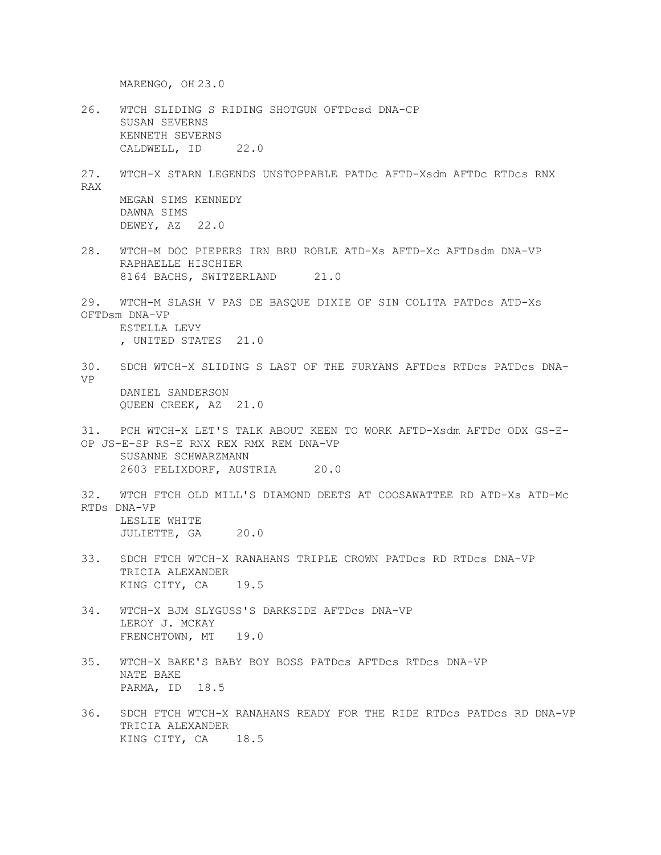MARENGO, OH 23.0

- 26. WTCH SLIDING S RIDING SHOTGUN OFTDcsd DNA-CP SUSAN SEVERNS KENNETH SEVERNS CALDWELL, ID 22.0
- 27. WTCH-X STARN LEGENDS UNSTOPPABLE PATDc AFTD-Xsdm AFTDc RTDcs RNX RAX MEGAN SIMS KENNEDY DAWNA SIMS DEWEY, AZ 22.0
- 28. WTCH-M DOC PIEPERS IRN BRU ROBLE ATD-Xs AFTD-Xc AFTDsdm DNA-VP RAPHAELLE HISCHIER 8164 BACHS, SWITZERLAND 21.0
- 29. WTCH-M SLASH V PAS DE BASQUE DIXIE OF SIN COLITA PATDcs ATD-Xs OFTDsm DNA-VP ESTELLA LEVY , UNITED STATES 21.0
- 30. SDCH WTCH-X SLIDING S LAST OF THE FURYANS AFTDcs RTDcs PATDcs DNA-VP DANIEL SANDERSON QUEEN CREEK, AZ 21.0
- 31. PCH WTCH-X LET'S TALK ABOUT KEEN TO WORK AFTD-Xsdm AFTDc ODX GS-E-OP JS-E-SP RS-E RNX REX RMX REM DNA-VP SUSANNE SCHWARZMANN 2603 FELIXDORF, AUSTRIA 20.0
- 32. WTCH FTCH OLD MILL'S DIAMOND DEETS AT COOSAWATTEE RD ATD-Xs ATD-Mc RTDs DNA-VP LESLIE WHITE JULIETTE, GA 20.0
- 33. SDCH FTCH WTCH-X RANAHANS TRIPLE CROWN PATDcs RD RTDcs DNA-VP TRICIA ALEXANDER KING CITY, CA 19.5
- 34. WTCH-X BJM SLYGUSS'S DARKSIDE AFTDcs DNA-VP LEROY J. MCKAY FRENCHTOWN, MT 19.0
- 35. WTCH-X BAKE'S BABY BOY BOSS PATDcs AFTDcs RTDcs DNA-VP NATE BAKE PARMA, ID 18.5
- 36. SDCH FTCH WTCH-X RANAHANS READY FOR THE RIDE RTDcs PATDcs RD DNA-VP TRICIA ALEXANDER KING CITY, CA 18.5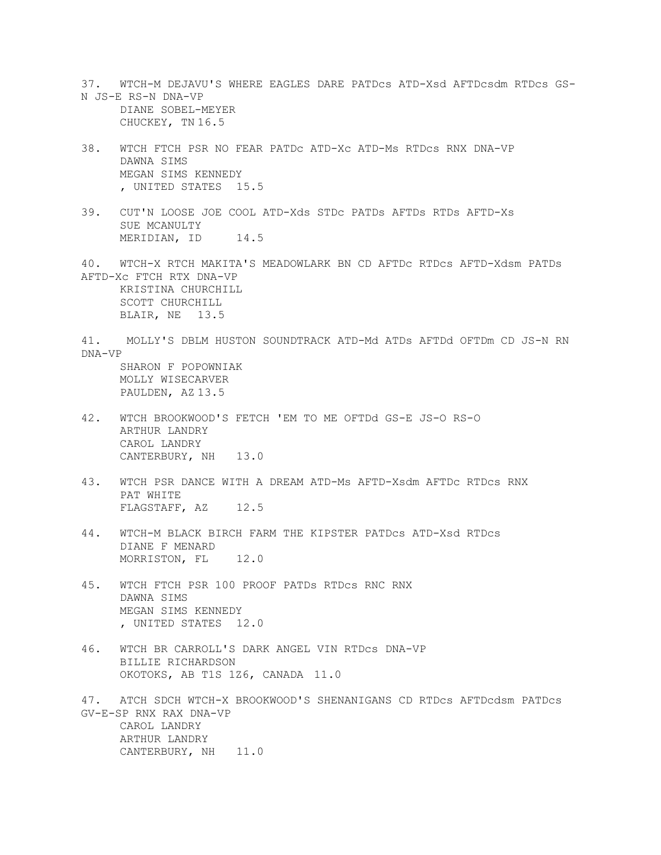37. WTCH-M DEJAVU'S WHERE EAGLES DARE PATDcs ATD-Xsd AFTDcsdm RTDcs GS-N JS-E RS-N DNA-VP DIANE SOBEL-MEYER CHUCKEY, TN 16.5 38. WTCH FTCH PSR NO FEAR PATDc ATD-Xc ATD-Ms RTDcs RNX DNA-VP DAWNA SIMS MEGAN SIMS KENNEDY , UNITED STATES 15.5 39. CUT'N LOOSE JOE COOL ATD-Xds STDc PATDs AFTDs RTDs AFTD-Xs SUE MCANULTY MERIDIAN, ID 14.5 40. WTCH-X RTCH MAKITA'S MEADOWLARK BN CD AFTDc RTDcs AFTD-Xdsm PATDs AFTD-Xc FTCH RTX DNA-VP KRISTINA CHURCHILL SCOTT CHURCHILL BLAIR, NE 13.5 41. MOLLY'S DBLM HUSTON SOUNDTRACK ATD-Md ATDs AFTDd OFTDm CD JS-N RN DNA-VP SHARON F POPOWNIAK MOLLY WISECARVER PAULDEN, AZ 13.5 42. WTCH BROOKWOOD'S FETCH 'EM TO ME OFTDd GS-E JS-O RS-O ARTHUR LANDRY CAROL LANDRY CANTERBURY, NH 13.0 43. WTCH PSR DANCE WITH A DREAM ATD-Ms AFTD-Xsdm AFTDc RTDcs RNX PAT WHITE FLAGSTAFF, AZ 12.5 44. WTCH-M BLACK BIRCH FARM THE KIPSTER PATDcs ATD-Xsd RTDcs DIANE F MENARD MORRISTON, FL<sub>12.0</sub> 45. WTCH FTCH PSR 100 PROOF PATDs RTDcs RNC RNX DAWNA SIMS MEGAN SIMS KENNEDY , UNITED STATES 12.0 46. WTCH BR CARROLL'S DARK ANGEL VIN RTDcs DNA-VP BILLIE RICHARDSON OKOTOKS, AB T1S 1Z6, CANADA 11.0 47. ATCH SDCH WTCH-X BROOKWOOD'S SHENANIGANS CD RTDcs AFTDcdsm PATDcs GV-E-SP RNX RAX DNA-VP CAROL LANDRY ARTHUR LANDRY CANTERBURY, NH 11.0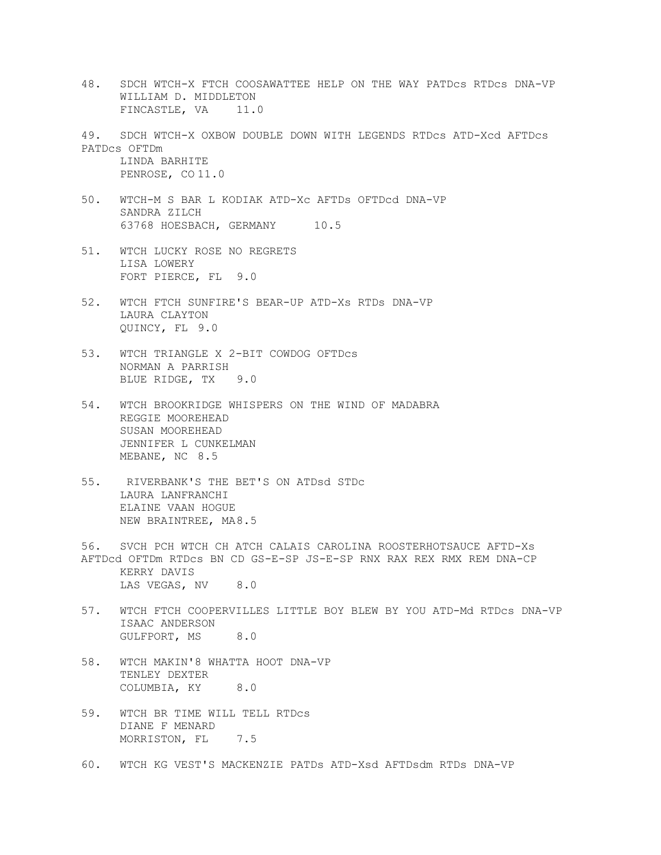- 48. SDCH WTCH-X FTCH COOSAWATTEE HELP ON THE WAY PATDcs RTDcs DNA-VP WILLIAM D. MIDDLETON FINCASTLE, VA 11.0
- 49. SDCH WTCH-X OXBOW DOUBLE DOWN WITH LEGENDS RTDcs ATD-Xcd AFTDcs PATDcs OFTDm LINDA BARHITE

PENROSE, CO 11.0

- 50. WTCH-M S BAR L KODIAK ATD-Xc AFTDs OFTDcd DNA-VP SANDRA ZILCH 63768 HOESBACH, GERMANY 10.5
- 51. WTCH LUCKY ROSE NO REGRETS LISA LOWERY FORT PIERCE, FL 9.0
- 52. WTCH FTCH SUNFIRE'S BEAR-UP ATD-Xs RTDs DNA-VP LAURA CLAYTON QUINCY, FL 9.0
- 53. WTCH TRIANGLE X 2-BIT COWDOG OFTDcs NORMAN A PARRISH BLUE RIDGE, TX 9.0
- 54. WTCH BROOKRIDGE WHISPERS ON THE WIND OF MADABRA REGGIE MOOREHEAD SUSAN MOOREHEAD JENNIFER L CUNKELMAN MEBANE, NC 8.5
- 55. RIVERBANK'S THE BET'S ON ATDsd STDc LAURA LANFRANCHI ELAINE VAAN HOGUE NEW BRAINTREE, MA8.5

56. SVCH PCH WTCH CH ATCH CALAIS CAROLINA ROOSTERHOTSAUCE AFTD-Xs AFTDcd OFTDm RTDcs BN CD GS-E-SP JS-E-SP RNX RAX REX RMX REM DNA-CP KERRY DAVIS LAS VEGAS, NV 8.0

- 57. WTCH FTCH COOPERVILLES LITTLE BOY BLEW BY YOU ATD-Md RTDcs DNA-VP ISAAC ANDERSON GULFPORT, MS 8.0
- 58. WTCH MAKIN'8 WHATTA HOOT DNA-VP TENLEY DEXTER COLUMBIA, KY 8.0
- 59. WTCH BR TIME WILL TELL RTDcs DIANE F MENARD MORRISTON, FL<sub>7.5</sub>
- 60. WTCH KG VEST'S MACKENZIE PATDs ATD-Xsd AFTDsdm RTDs DNA-VP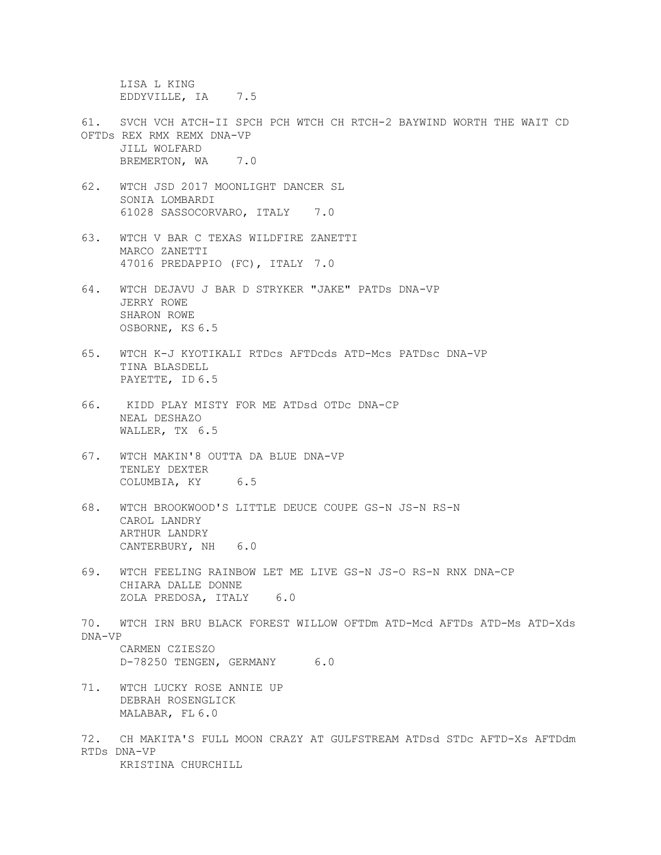LISA L KING EDDYVILLE, IA 7.5

- 61. SVCH VCH ATCH-II SPCH PCH WTCH CH RTCH-2 BAYWIND WORTH THE WAIT CD OFTDs REX RMX REMX DNA-VP JILL WOLFARD BREMERTON, WA 7.0
- 62. WTCH JSD 2017 MOONLIGHT DANCER SL SONIA LOMBARDI 61028 SASSOCORVARO, ITALY 7.0
- 63. WTCH V BAR C TEXAS WILDFIRE ZANETTI MARCO ZANETTI 47016 PREDAPPIO (FC), ITALY 7.0
- 64. WTCH DEJAVU J BAR D STRYKER "JAKE" PATDs DNA-VP JERRY ROWE SHARON ROWE OSBORNE, KS 6.5
- 65. WTCH K-J KYOTIKALI RTDcs AFTDcds ATD-Mcs PATDsc DNA-VP TINA BLASDELL PAYETTE, ID 6.5
- 66. KIDD PLAY MISTY FOR ME ATDsd OTDc DNA-CP NEAL DESHAZO WALLER, TX 6.5
- 67. WTCH MAKIN'8 OUTTA DA BLUE DNA-VP TENLEY DEXTER COLUMBIA, KY 6.5
- 68. WTCH BROOKWOOD'S LITTLE DEUCE COUPE GS-N JS-N RS-N CAROL LANDRY ARTHUR LANDRY CANTERBURY, NH 6.0
- 69. WTCH FEELING RAINBOW LET ME LIVE GS-N JS-O RS-N RNX DNA-CP CHIARA DALLE DONNE ZOLA PREDOSA, ITALY 6.0
- 70. WTCH IRN BRU BLACK FOREST WILLOW OFTDm ATD-Mcd AFTDs ATD-Ms ATD-Xds DNA-VP CARMEN CZIESZO D-78250 TENGEN, GERMANY 6.0
- 71. WTCH LUCKY ROSE ANNIE UP DEBRAH ROSENGLICK MALABAR, FL 6.0
- 72. CH MAKITA'S FULL MOON CRAZY AT GULFSTREAM ATDsd STDc AFTD-Xs AFTDdm RTDs DNA-VP KRISTINA CHURCHILL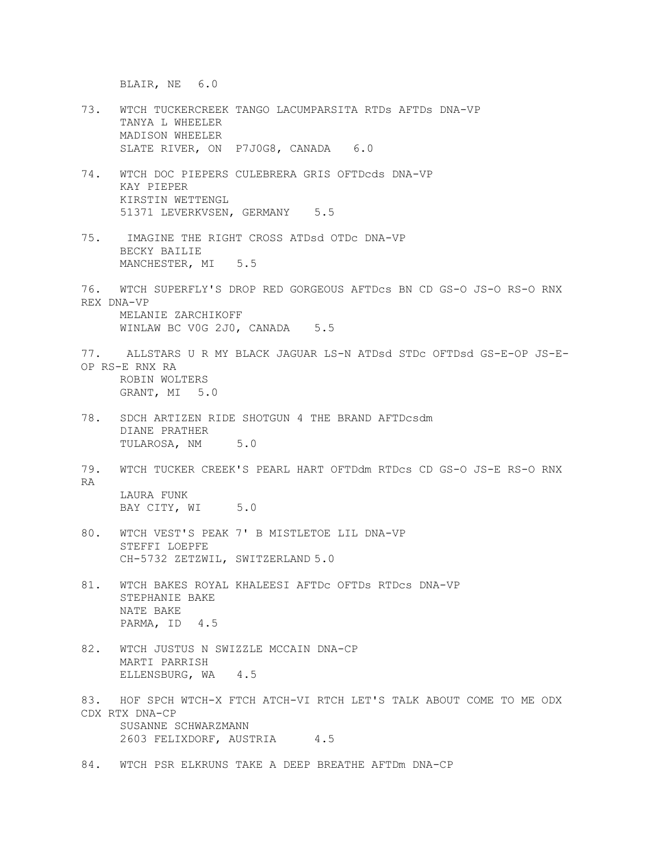BLAIR, NE 6.0

- 73. WTCH TUCKERCREEK TANGO LACUMPARSITA RTDs AFTDs DNA-VP TANYA L WHEELER MADISON WHEELER SLATE RIVER, ON P7J0G8, CANADA 6.0
- 74. WTCH DOC PIEPERS CULEBRERA GRIS OFTDcds DNA-VP KAY PIEPER KIRSTIN WETTENGL 51371 LEVERKVSEN, GERMANY 5.5
- 75. IMAGINE THE RIGHT CROSS ATDsd OTDc DNA-VP BECKY BAILIE MANCHESTER, MI 5.5
- 76. WTCH SUPERFLY'S DROP RED GORGEOUS AFTDcs BN CD GS-O JS-O RS-O RNX REX DNA-VP MELANIE ZARCHIKOFF WINLAW BC VOG 2JO, CANADA 5.5
- 77. ALLSTARS U R MY BLACK JAGUAR LS-N ATDsd STDc OFTDsd GS-E-OP JS-E-OP RS-E RNX RA ROBIN WOLTERS GRANT, MI 5.0
- 78. SDCH ARTIZEN RIDE SHOTGUN 4 THE BRAND AFTDcsdm DIANE PRATHER TULAROSA, NM 5.0
- 79. WTCH TUCKER CREEK'S PEARL HART OFTDdm RTDcs CD GS-O JS-E RS-O RNX RA LAURA FUNK BAY CITY, WI 5.0
- 80. WTCH VEST'S PEAK 7' B MISTLETOE LIL DNA-VP STEFFI LOEPFE CH-5732 ZETZWIL, SWITZERLAND 5.0
- 81. WTCH BAKES ROYAL KHALEESI AFTDc OFTDs RTDcs DNA-VP STEPHANIE BAKE NATE BAKE PARMA, ID 4.5
- 82. WTCH JUSTUS N SWIZZLE MCCAIN DNA-CP MARTI PARRISH ELLENSBURG, WA 4.5
- 83. HOF SPCH WTCH-X FTCH ATCH-VI RTCH LET'S TALK ABOUT COME TO ME ODX CDX RTX DNA-CP SUSANNE SCHWARZMANN 2603 FELIXDORF, AUSTRIA 4.5
- 84. WTCH PSR ELKRUNS TAKE A DEEP BREATHE AFTDm DNA-CP